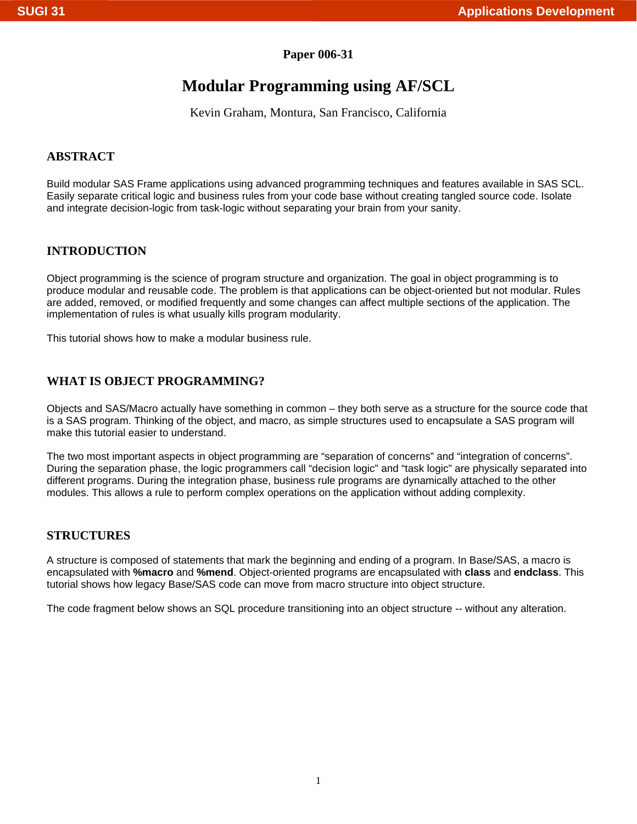### **Paper 006-31**

# **Modular Programming using AF/SCL**

Kevin Graham, Montura, San Francisco, California

### **ABSTRACT**

Build modular SAS Frame applications using advanced programming techniques and features available in SAS SCL. Easily separate critical logic and business rules from your code base without creating tangled source code. Isolate and integrate decision-logic from task-logic without separating your brain from your sanity.

### **INTRODUCTION**

Object programming is the science of program structure and organization. The goal in object programming is to produce modular and reusable code. The problem is that applications can be object-oriented but not modular. Rules are added, removed, or modified frequently and some changes can affect multiple sections of the application. The implementation of rules is what usually kills program modularity.

This tutorial shows how to make a modular business rule.

### **WHAT IS OBJECT PROGRAMMING?**

Objects and SAS/Macro actually have something in common – they both serve as a structure for the source code that is a SAS program. Thinking of the object, and macro, as simple structures used to encapsulate a SAS program will make this tutorial easier to understand.

The two most important aspects in object programming are "separation of concerns" and "integration of concerns". During the separation phase, the logic programmers call "decision logic" and "task logic" are physically separated into different programs. During the integration phase, business rule programs are dynamically attached to the other modules. This allows a rule to perform complex operations on the application without adding complexity.

### **STRUCTURES**

A structure is composed of statements that mark the beginning and ending of a program. In Base/SAS, a macro is encapsulated with **%macro** and **%mend**. Object-oriented programs are encapsulated with **class** and **endclass**. This tutorial shows how legacy Base/SAS code can move from macro structure into object structure.

The code fragment below shows an SQL procedure transitioning into an object structure -- without any alteration.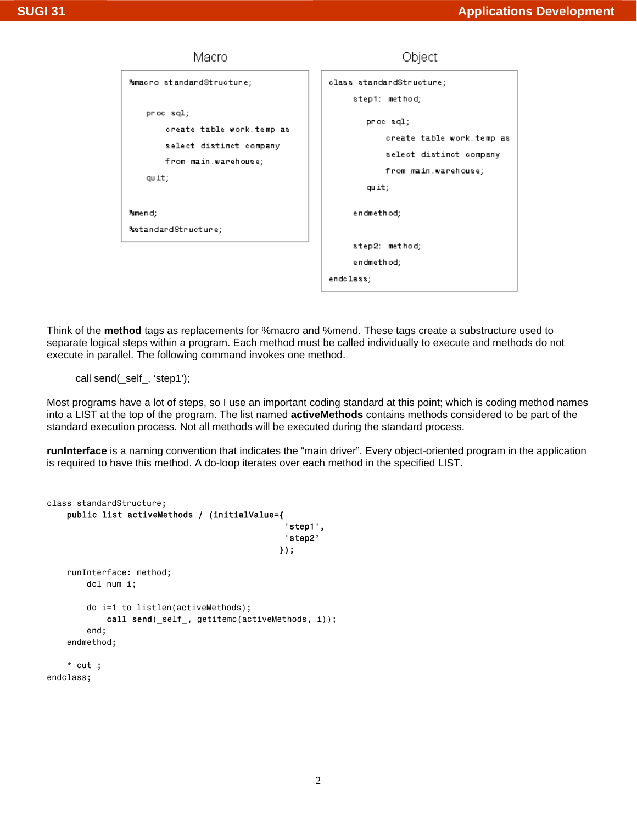

Think of the **method** tags as replacements for %macro and %mend. These tags create a substructure used to separate logical steps within a program. Each method must be called individually to execute and methods do not execute in parallel. The following command invokes one method.

call send(\_self\_, 'step1');

Most programs have a lot of steps, so I use an important coding standard at this point; which is coding method names into a LIST at the top of the program. The list named **activeMethods** contains methods considered to be part of the standard execution process. Not all methods will be executed during the standard process.

**runInterface** is a naming convention that indicates the "main driver". Every object-oriented program in the application is required to have this method. A do-loop iterates over each method in the specified LIST.

```
class standardStructure; 
    public list activeMethods / (initialValue={ 
                                              'step1', 
                                              'step2' 
 }); 
    runInterface: method; 
        dcl num i; 
        do i=1 to listlen(activeMethods); 
            call send(_self_, getitemc(activeMethods, i)); 
        end; 
    endmethod; 
    * cut ; 
endclass;
```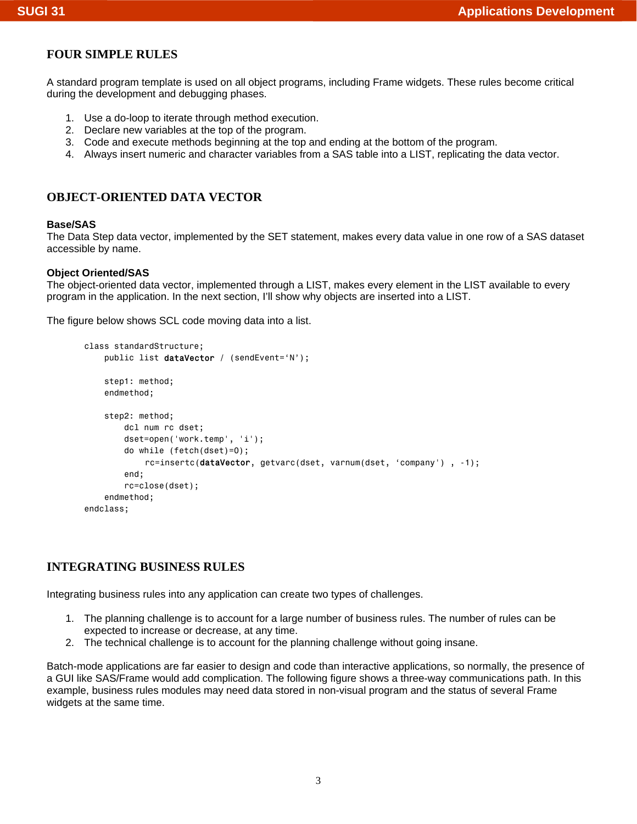### **FOUR SIMPLE RULES**

A standard program template is used on all object programs, including Frame widgets. These rules become critical during the development and debugging phases.

- 1. Use a do-loop to iterate through method execution.
- 2. Declare new variables at the top of the program.
- 3. Code and execute methods beginning at the top and ending at the bottom of the program.
- 4. Always insert numeric and character variables from a SAS table into a LIST, replicating the data vector.

### **OBJECT-ORIENTED DATA VECTOR**

#### **Base/SAS**

The Data Step data vector, implemented by the SET statement, makes every data value in one row of a SAS dataset accessible by name.

#### **Object Oriented/SAS**

The object-oriented data vector, implemented through a LIST, makes every element in the LIST available to every program in the application. In the next section, I'll show why objects are inserted into a LIST.

The figure below shows SCL code moving data into a list.

```
class standardStructure; 
    public list dataVector / (sendEvent='N');
     step1: method; 
     endmethod; 
     step2: method; 
         dcl num rc dset; 
         dset=open('work.temp', 'i'); 
         do while (fetch(dset)=0); 
              rc=insertc(dataVector, getvarc(dset, varnum(dset, 'company') , -1); 
         end; 
         rc=close(dset); 
     endmethod; 
endclass;
```
### **INTEGRATING BUSINESS RULES**

Integrating business rules into any application can create two types of challenges.

- 1. The planning challenge is to account for a large number of business rules. The number of rules can be expected to increase or decrease, at any time.
- 2. The technical challenge is to account for the planning challenge without going insane.

Batch-mode applications are far easier to design and code than interactive applications, so normally, the presence of a GUI like SAS/Frame would add complication. The following figure shows a three-way communications path. In this example, business rules modules may need data stored in non-visual program and the status of several Frame widgets at the same time.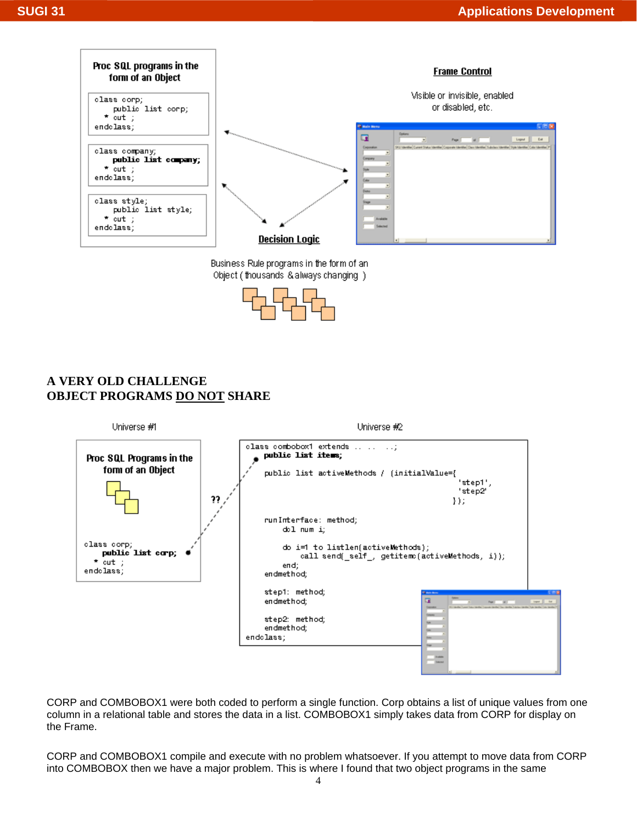

Business Rule programs in the form of an Object (thousands & always changing)



## **A VERY OLD CHALLENGE OBJECT PROGRAMS DO NOT SHARE**



CORP and COMBOBOX1 were both coded to perform a single function. Corp obtains a list of unique values from one column in a relational table and stores the data in a list. COMBOBOX1 simply takes data from CORP for display on the Frame.

CORP and COMBOBOX1 compile and execute with no problem whatsoever. If you attempt to move data from CORP into COMBOBOX then we have a major problem. This is where I found that two object programs in the same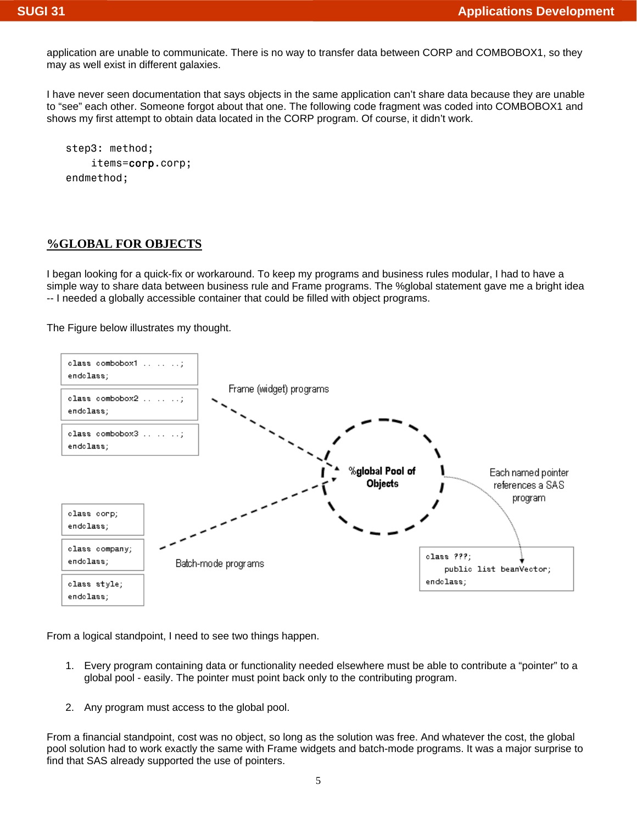application are unable to communicate. There is no way to transfer data between CORP and COMBOBOX1, so they may as well exist in different galaxies.

I have never seen documentation that says objects in the same application can't share data because they are unable to "see" each other. Someone forgot about that one. The following code fragment was coded into COMBOBOX1 and shows my first attempt to obtain data located in the CORP program. Of course, it didn't work.

 step3: method; items=corp.corp; endmethod;

#### **%GLOBAL FOR OBJECTS**

I began looking for a quick-fix or workaround. To keep my programs and business rules modular, I had to have a simple way to share data between business rule and Frame programs. The %global statement gave me a bright idea -- I needed a globally accessible container that could be filled with object programs.

The Figure below illustrates my thought.



From a logical standpoint, I need to see two things happen.

- 1. Every program containing data or functionality needed elsewhere must be able to contribute a "pointer" to a global pool - easily. The pointer must point back only to the contributing program.
- 2. Any program must access to the global pool.

From a financial standpoint, cost was no object, so long as the solution was free. And whatever the cost, the global pool solution had to work exactly the same with Frame widgets and batch-mode programs. It was a major surprise to find that SAS already supported the use of pointers.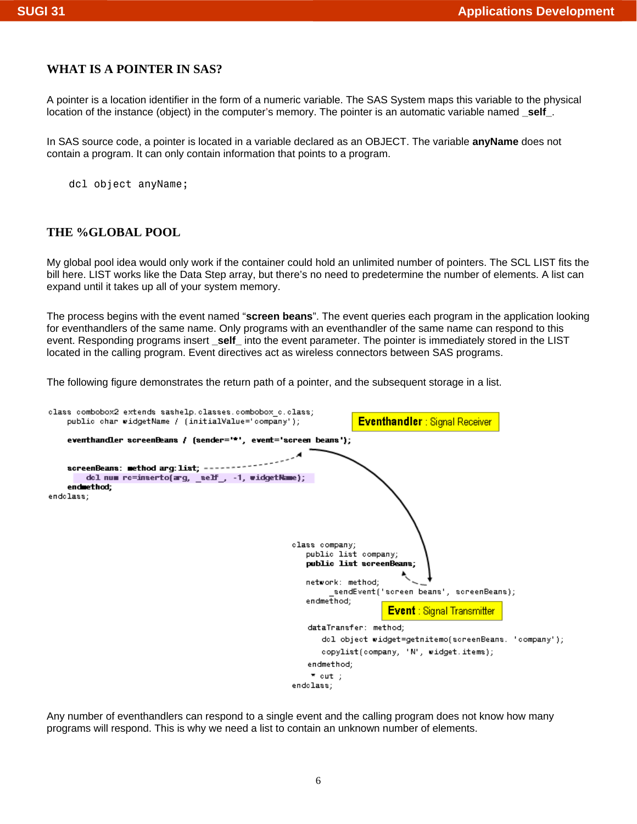### **WHAT IS A POINTER IN SAS?**

A pointer is a location identifier in the form of a numeric variable. The SAS System maps this variable to the physical location of the instance (object) in the computer's memory. The pointer is an automatic variable named self.

In SAS source code, a pointer is located in a variable declared as an OBJECT. The variable **anyName** does not contain a program. It can only contain information that points to a program.

dcl object anyName;

### **THE %GLOBAL POOL**

My global pool idea would only work if the container could hold an unlimited number of pointers. The SCL LIST fits the bill here. LIST works like the Data Step array, but there's no need to predetermine the number of elements. A list can expand until it takes up all of your system memory.

The process begins with the event named "**screen beans**". The event queries each program in the application looking for eventhandlers of the same name. Only programs with an eventhandler of the same name can respond to this event. Responding programs insert self into the event parameter. The pointer is immediately stored in the LIST located in the calling program. Event directives act as wireless connectors between SAS programs.

The following figure demonstrates the return path of a pointer, and the subsequent storage in a list.



Any number of eventhandlers can respond to a single event and the calling program does not know how many programs will respond. This is why we need a list to contain an unknown number of elements.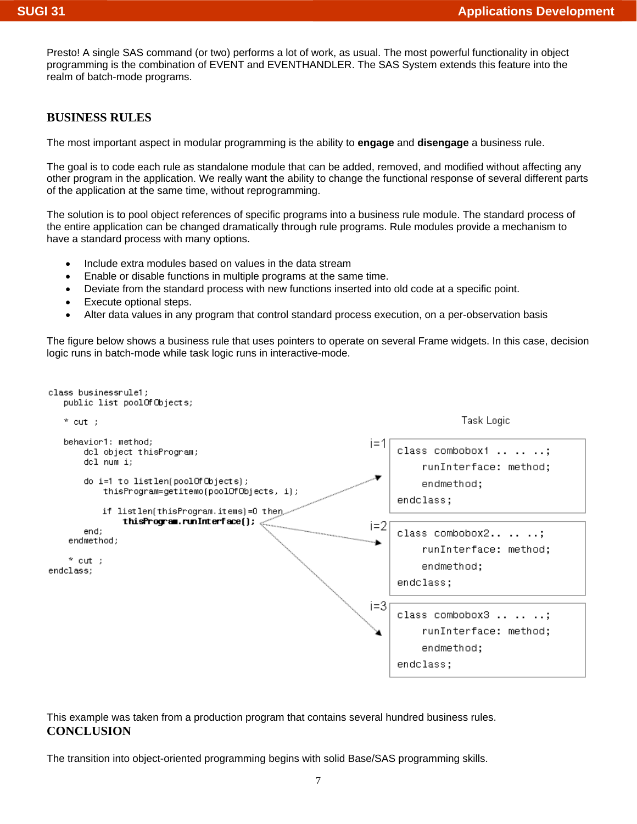Presto! A single SAS command (or two) performs a lot of work, as usual. The most powerful functionality in object programming is the combination of EVENT and EVENTHANDLER. The SAS System extends this feature into the realm of batch-mode programs.

### **BUSINESS RULES**

The most important aspect in modular programming is the ability to **engage** and **disengage** a business rule.

The goal is to code each rule as standalone module that can be added, removed, and modified without affecting any other program in the application. We really want the ability to change the functional response of several different parts of the application at the same time, without reprogramming.

The solution is to pool object references of specific programs into a business rule module. The standard process of the entire application can be changed dramatically through rule programs. Rule modules provide a mechanism to have a standard process with many options.

- Include extra modules based on values in the data stream
- Enable or disable functions in multiple programs at the same time.
- Deviate from the standard process with new functions inserted into old code at a specific point.
- Execute optional steps.
- Alter data values in any program that control standard process execution, on a per-observation basis

The figure below shows a business rule that uses pointers to operate on several Frame widgets. In this case, decision logic runs in batch-mode while task logic runs in interactive-mode.



This example was taken from a production program that contains several hundred business rules. **CONCLUSION** 

The transition into object-oriented programming begins with solid Base/SAS programming skills.